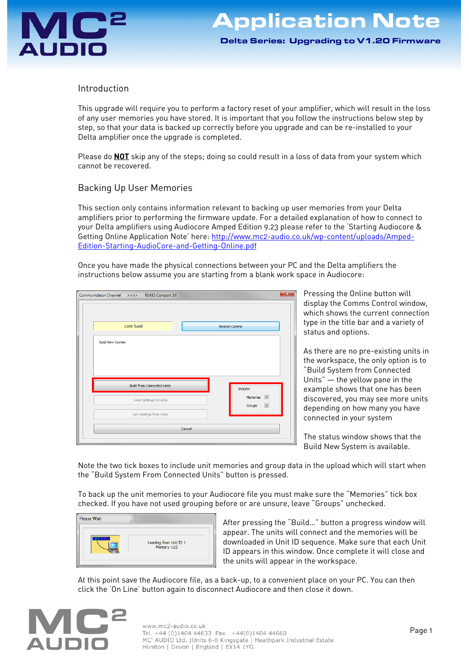Delta Series: Upgrading to V1.20 Firmware

# Introduction

This upgrade will require you to perform a factory reset of your amplifier, which will result in the loss of any user memories you have stored. It is important that you follow the instructions below step by step, so that your data is backed up correctly before you upgrade and can be re-installed to your Delta amplifier once the upgrade is completed.

Please do **NOT** skip any of the steps; doing so could result in a loss of data from your system which cannot be recovered.

# Backing Up User Memories

This section only contains information relevant to backing up user memories from your Delta amplifiers prior to performing the firmware update. For a detailed explanation of how to connect to your Delta amplifiers using Audiocore Amped Edition 9.23 please refer to the 'Starting Audiocore & Getting Online Application Note' here: http://www.mc2-audio.co.uk/wp-content/uploads/Amped-Edition-Starting-AudioCore-and-Getting-Online.pdf

Once you have made the physical connections between your PC and the Delta amplifiers the instructions below assume you are starting from a blank work space in Audiocore:

| Communictaion Channel >>>> RS485 Comport 14 | $\overline{\mathbf{x}}$                      |
|---------------------------------------------|----------------------------------------------|
| 1 Unit found                                | <b>Rescan Comms</b>                          |
| <b>Build New System</b>                     |                                              |
| <b>Build from Connected Units</b>           | Include:                                     |
| Send Settings to Units                      | Memories V<br>$\blacktriangledown$<br>Groups |
| Get Settings from Units                     |                                              |
|                                             | Cancel                                       |
|                                             |                                              |

Pressing the Online button will display the Comms Control window, which shows the current connection type in the title bar and a variety of status and options.

As there are no pre-existing units in the workspace, the only option is to "Build System from Connected Units" – the yellow pane in the example shows that one has been discovered, you may see more units depending on how many you have connected in your system

The status window shows that the Build New System is available.

Note the two tick boxes to include unit memories and group data in the upload which will start when the "Build System From Connected Units" button is pressed.

To back up the unit memories to your Audiocore file you must make sure the "Memories" tick box checked. If you have not used grouping before or are unsure, leave "Groups" unchecked.



After pressing the "Build…" button a progress window will appear. The units will connect and the memories will be downloaded in Unit ID sequence. Make sure that each Unit ID appears in this window. Once complete it will close and the units will appear in the workspace.

At this point save the Audiocore file, as a back-up, to a convenient place on your PC. You can then click the 'On Line' button again to disconnect Audiocore and then close it down.

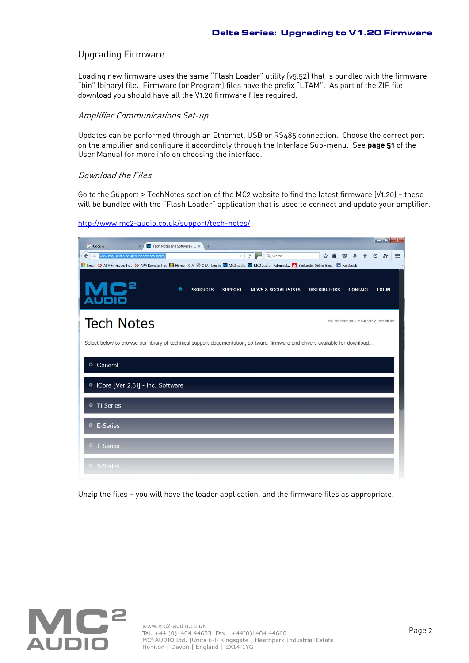### Upgrading Firmware

Loading new firmware uses the same "Flash Loader" utility (v5.52) that is bundled with the firmware "bin" (binary) file. Firmware (or Program) files have the prefix "LTAM". As part of the ZIP file download you should have all the V1.20 firmware files required.

### Amplifier Communications Set-up

Updates can be performed through an Ethernet, USB or RS485 connection. Choose the correct port on the amplifier and configure it accordingly through the Interface Sub-menu. See **page 51** of the User Manual for more info on choosing the interface.

#### Download the Files

Go to the Support > TechNotes section of the MC2 website to find the latest firmware (V1.20) — these will be bundled with the "Flash Loader" application that is used to connect and update your amplifier.

| <b>G</b> Google<br>M Tech Notes and Software -  X<br>$+$                                                                                       | $ - 0 $<br>$\mathbf{x}$ |
|------------------------------------------------------------------------------------------------------------------------------------------------|-------------------------|
| $C^{\prime}$<br>Q Search<br>自<br>←<br>www.mc2-audio.co.uk/support/tech-notes/<br>☆<br>$\odot$<br>$\bigtriangledown$<br>$\overline{\vee}$       | $\frac{100}{1000}$<br>Ξ |
| Email W APA Firmware Trac W APA Remote Trac L Home - XTA ( N XTA > Log In M MC2 audio M MC2 audio - Administ N Santander Online Ban   Facebook | $\mathcal{V}$           |
| re<br>n<br><b>SUPPORT</b><br><b>PRODUCTS</b><br><b>NEWS &amp; SOCIAL POSTS</b><br><b>DISTRIBUTORS</b><br><b>CONTACT</b>                        | <b>LOGIN</b>            |
| <b>Tech Notes</b><br>You are here: MC2 > Support > Tech Notes                                                                                  |                         |
| Select below to browse our library of technical support documentation, software, firmware and drivers available for download                   |                         |
| General<br>$\bullet$                                                                                                                           |                         |
| C iCore [Ver 2.31] - Inc. Software                                                                                                             |                         |
| <b>Ti Series</b><br>$\bullet$                                                                                                                  |                         |
| <sup>o</sup> E-Series                                                                                                                          |                         |
| • T Series                                                                                                                                     |                         |
| S-Series                                                                                                                                       |                         |

http://www.mc2-audio.co.uk/support/tech-notes/

Unzip the files — you will have the loader application, and the firmware files as appropriate.

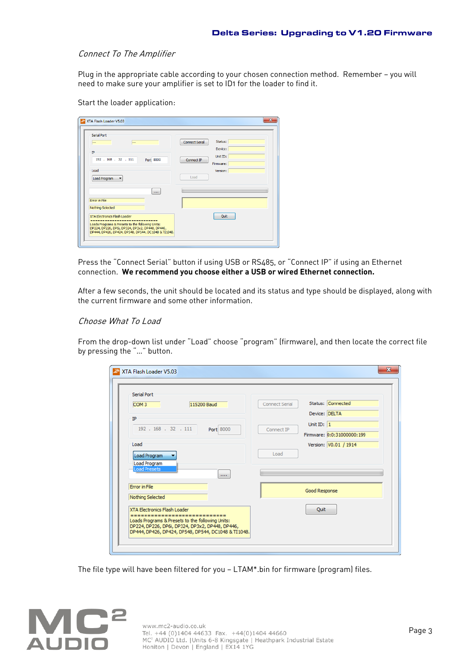### Connect To The Amplifier

Plug in the appropriate cable according to your chosen connection method. Remember - you will need to make sure your amplifier is set to ID1 for the loader to find it.

Start the loader application:

| <b>Serial Port</b>                                                                                  | Status:                |
|-----------------------------------------------------------------------------------------------------|------------------------|
| $\overline{\phantom{a}}$<br>                                                                        | <b>Connect Serial</b>  |
| IP                                                                                                  | Device:                |
| 192 . 168 . 32 . 111<br>Port 8000                                                                   | Unit ID:<br>Connect IP |
|                                                                                                     | Firmware:              |
| Load                                                                                                | Version:               |
| Load Program<br>$\blacktriangledown$                                                                | Load                   |
|                                                                                                     |                        |
| $\cdots$                                                                                            |                        |
| Error in File                                                                                       |                        |
| Nothing Selected                                                                                    |                        |
|                                                                                                     |                        |
| <b>XTA Electronics Elash Loader</b><br>------------<br>----------                                   | Quit                   |
| Loads Programs & Presets to the following Units:<br>DP224, DP226, DP6i, DP324, DP3x2, DP448, DP446, |                        |

Press the "Connect Serial" button if using USB or RS485, or "Connect IP" if using an Ethernet connection. **We recommend you choose either a USB or wired Ethernet connection.**

After a few seconds, the unit should be located and its status and type should be displayed, along with the current firmware and some other information.

### Choose What To Load

From the drop-down list under "Load" choose "program" (firmware), and then locate the correct file by pressing the "…" button.

| <b>Serial Port</b>                               |                                            |
|--------------------------------------------------|--------------------------------------------|
| 115200 Baud<br>COM <sub>3</sub>                  | Status: Connected<br><b>Connect Serial</b> |
| IP                                               | Device: DELTA                              |
| 192 . 168 . 32 . 111<br>Port 8000                | Unit ID: $1$<br>Connect IP                 |
|                                                  | Firmware: 0:0:31000000:199                 |
| Load                                             | Version: V0.01 / 1914                      |
| Load Program                                     | Load                                       |
| Load Program                                     |                                            |
| <b>Load Presets</b><br>1111                      |                                            |
| <b>Error</b> in File                             | Good Response                              |
| Nothing Selected                                 |                                            |
| XTA Electronics Flash Loader                     | Quit                                       |
| Loads Programs & Presets to the following Units: |                                            |

The file type will have been filtered for you — LTAM\*.bin for firmware (program) files.

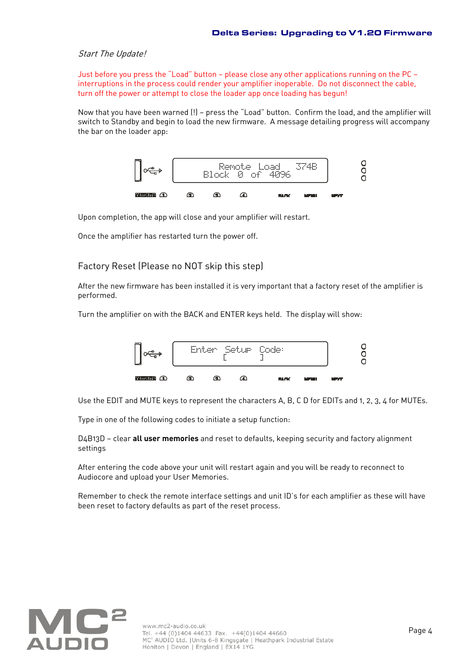### Start The Update!

Just before you press the "Load" button — please close any other applications running on the PC interruptions in the process could render your amplifier inoperable. Do not disconnect the cable, turn off the power or attempt to close the loader app once loading has begun!

Now that you have been warned (!) — press the "Load" button. Confirm the load, and the amplifier will switch to Standby and begin to load the new firmware. A message detailing progress will accompany the bar on the loader app:



Upon completion, the app will close and your amplifier will restart.

Once the amplifier has restarted turn the power off.

# Factory Reset (Please no NOT skip this step)

After the new firmware has been installed it is very important that a factory reset of the amplifier is performed.

Turn the amplifier on with the BACK and ENTER keys held. The display will show:



Use the EDIT and MUTE keys to represent the characters A, B, C D for EDITs and 1, 2, 3, 4 for MUTEs.

Type in one of the following codes to initiate a setup function:

D4B13D — clear **all user memories** and reset to defaults, keeping security and factory alignment settings

After entering the code above your unit will restart again and you will be ready to reconnect to Audiocore and upload your User Memories.

Remember to check the remote interface settings and unit ID's for each amplifier as these will have been reset to factory defaults as part of the reset process.